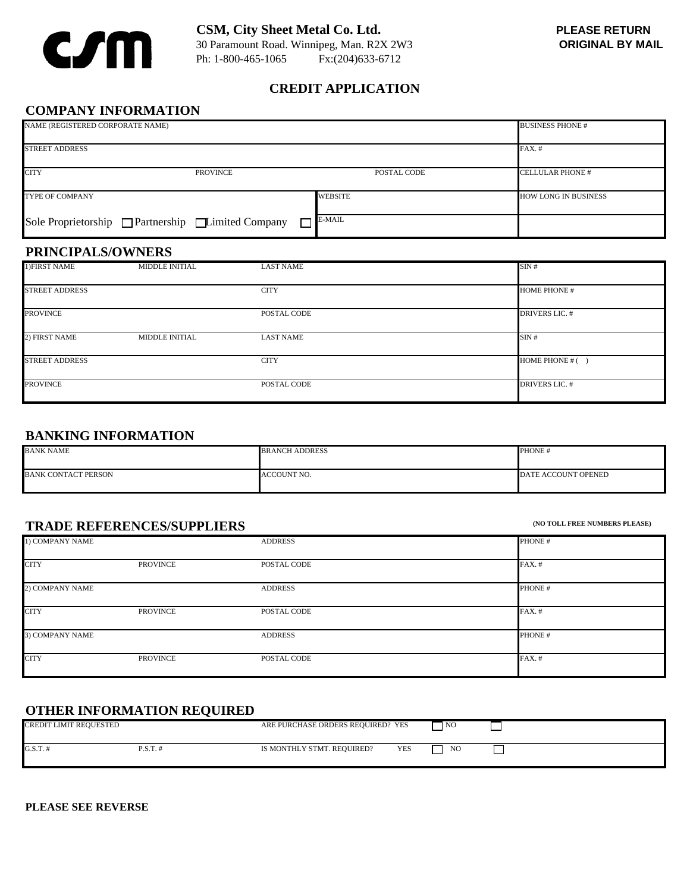

**CSM, City Sheet Metal Co. Ltd. PLEASE RETURN**  30 Paramount Road. Winnipeg, Man. R2X 2W3 **ORIGINAL BY MAIL** Ph: 1-800-465-1065 Fx:(204)633-6712

# **CREDIT APPLICATION**

### **COMPANY INFORMATION**

| NAME (REGISTERED CORPORATE NAME)                    |                 |                | <b>BUSINESS PHONE #</b>     |
|-----------------------------------------------------|-----------------|----------------|-----------------------------|
| <b>STREET ADDRESS</b>                               |                 |                | $FAX.$ #                    |
| <b>CITY</b>                                         | <b>PROVINCE</b> | POSTAL CODE    | <b>CELLULAR PHONE #</b>     |
| TYPE OF COMPANY                                     |                 | <b>WEBSITE</b> | <b>HOW LONG IN BUSINESS</b> |
| Sole Proprietorship □ Partnership □ Limited Company | ш               | E-MAIL         |                             |

#### **PRINCIPALS/OWNERS**

| 1) FIRST NAME         | <b>MIDDLE INITIAL</b> | <b>LAST NAME</b> | SIN#                  |
|-----------------------|-----------------------|------------------|-----------------------|
|                       |                       |                  |                       |
| <b>STREET ADDRESS</b> |                       | <b>CITY</b>      | <b>HOME PHONE #</b>   |
|                       |                       |                  |                       |
| <b>PROVINCE</b>       |                       | POSTAL CODE      | <b>DRIVERS LIC. #</b> |
|                       |                       |                  |                       |
| 2) FIRST NAME         | <b>MIDDLE INITIAL</b> | <b>LAST NAME</b> | SIN#                  |
|                       |                       |                  |                       |
| <b>STREET ADDRESS</b> |                       | <b>CITY</b>      | HOME PHONE $#( )$     |
|                       |                       |                  |                       |
| <b>PROVINCE</b>       |                       | POSTAL CODE      | <b>DRIVERS LIC. #</b> |
|                       |                       |                  |                       |

# **BANKING INFORMATION**

| <b>BANK NAME</b>           | <b>BRANCH ADDRESS</b> | PHONE #             |
|----------------------------|-----------------------|---------------------|
| <b>BANK CONTACT PERSON</b> | ACCOUNT NO.           | DATE ACCOUNT OPENED |

# **TRADE REFERENCES/SUPPLIERS (NO TOLL FREE NUMBERS PLEASE)**

| 1) COMPANY NAME |                 | <b>ADDRESS</b> | PHONE#   |
|-----------------|-----------------|----------------|----------|
| <b>CITY</b>     | <b>PROVINCE</b> | POSTAL CODE    | $FAX.$ # |
| 2) COMPANY NAME |                 | <b>ADDRESS</b> | PHONE #  |
| <b>CITY</b>     | <b>PROVINCE</b> | POSTAL CODE    | $FAX.$ # |
| 3) COMPANY NAME |                 | <b>ADDRESS</b> | PHONE #  |
| <b>CITY</b>     | <b>PROVINCE</b> | POSTAL CODE    | $FAX.$ # |

# **OTHER INFORMATION REQUIRED**

| <b>CREDIT LIMIT REQUESTED</b> |        | ARE PURCHASE ORDERS REQUIRED? YES |     | N <sub>O</sub> |  |
|-------------------------------|--------|-----------------------------------|-----|----------------|--|
| $G.S.T. \; \hat{}$            | P.S.T. | IS MONTHLY STMT. REQUIRED?        | YES | N <sub>O</sub> |  |